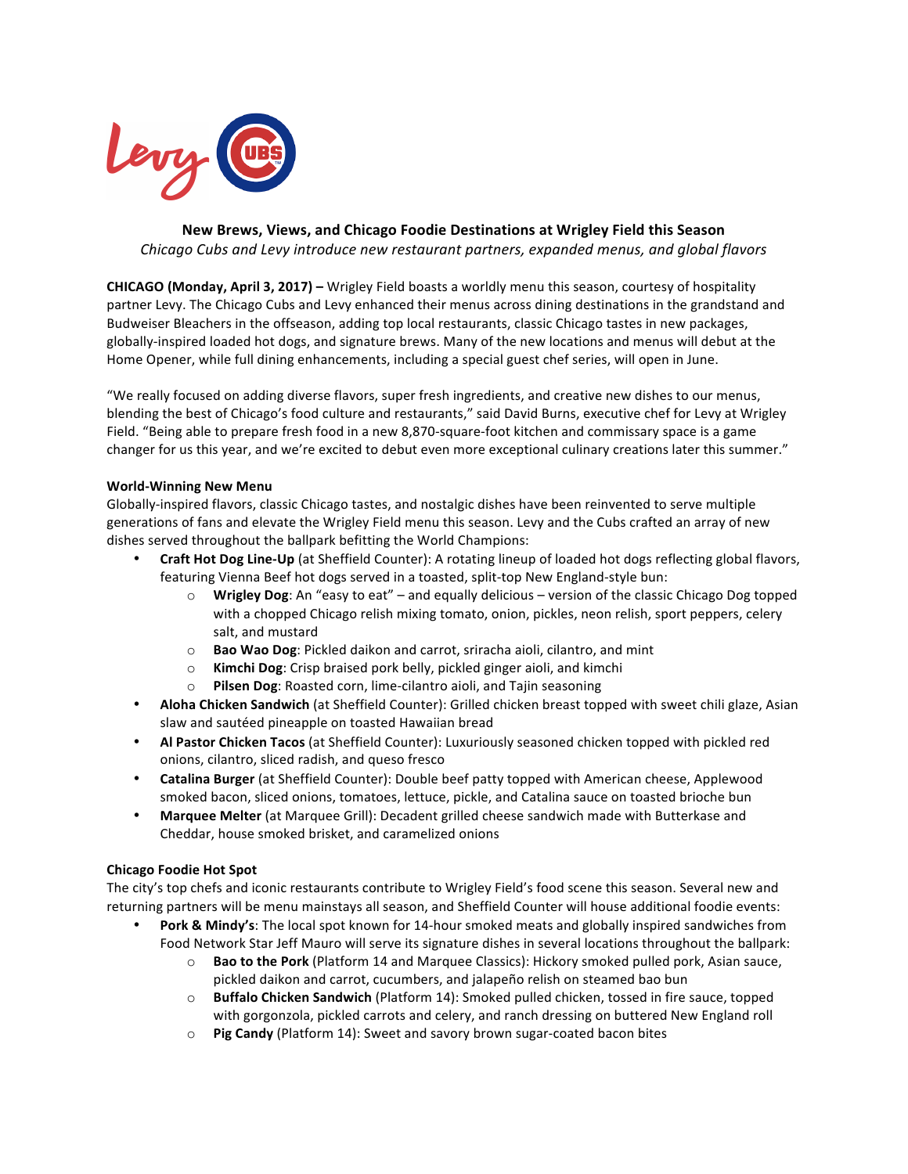

**New Brews, Views, and Chicago Foodie Destinations at Wrigley Field this Season** *Chicago Cubs and Levy introduce new restaurant partners, expanded menus, and global flavors*

**CHICAGO (Monday, April 3, 2017)** – Wrigley Field boasts a worldly menu this season, courtesy of hospitality partner Levy. The Chicago Cubs and Levy enhanced their menus across dining destinations in the grandstand and Budweiser Bleachers in the offseason, adding top local restaurants, classic Chicago tastes in new packages, globally-inspired loaded hot dogs, and signature brews. Many of the new locations and menus will debut at the Home Opener, while full dining enhancements, including a special guest chef series, will open in June.

"We really focused on adding diverse flavors, super fresh ingredients, and creative new dishes to our menus, blending the best of Chicago's food culture and restaurants," said David Burns, executive chef for Levy at Wrigley Field. "Being able to prepare fresh food in a new 8,870-square-foot kitchen and commissary space is a game changer for us this year, and we're excited to debut even more exceptional culinary creations later this summer."

## **World-Winning New Menu**

Globally-inspired flavors, classic Chicago tastes, and nostalgic dishes have been reinvented to serve multiple generations of fans and elevate the Wrigley Field menu this season. Levy and the Cubs crafted an array of new dishes served throughout the ballpark befitting the World Champions:

- **Craft Hot Dog Line-Up** (at Sheffield Counter): A rotating lineup of loaded hot dogs reflecting global flavors, featuring Vienna Beef hot dogs served in a toasted, split-top New England-style bun:
	- **Wrigley Dog**: An "easy to eat" and equally delicious version of the classic Chicago Dog topped with a chopped Chicago relish mixing tomato, onion, pickles, neon relish, sport peppers, celery salt, and mustard
	- o **Bao Wao Dog**: Pickled daikon and carrot, sriracha aioli, cilantro, and mint
	- o **Kimchi Dog**: Crisp braised pork belly, pickled ginger aioli, and kimchi
	- o **Pilsen Dog**: Roasted corn, lime-cilantro aioli, and Tajin seasoning
- **Aloha Chicken Sandwich** (at Sheffield Counter): Grilled chicken breast topped with sweet chili glaze, Asian slaw and sautéed pineapple on toasted Hawaiian bread
- Al Pastor Chicken Tacos (at Sheffield Counter): Luxuriously seasoned chicken topped with pickled red onions, cilantro, sliced radish, and queso fresco
- **Catalina Burger** (at Sheffield Counter): Double beef patty topped with American cheese, Applewood smoked bacon, sliced onions, tomatoes, lettuce, pickle, and Catalina sauce on toasted brioche bun
- Marquee Melter (at Marquee Grill): Decadent grilled cheese sandwich made with Butterkase and Cheddar, house smoked brisket, and caramelized onions

## **Chicago Foodie Hot Spot**

The city's top chefs and iconic restaurants contribute to Wrigley Field's food scene this season. Several new and returning partners will be menu mainstays all season, and Sheffield Counter will house additional foodie events:

- Pork & Mindy's: The local spot known for 14-hour smoked meats and globally inspired sandwiches from Food Network Star Jeff Mauro will serve its signature dishes in several locations throughout the ballpark:
	- $\circ$  **Bao to the Pork** (Platform 14 and Marquee Classics): Hickory smoked pulled pork, Asian sauce, pickled daikon and carrot, cucumbers, and jalapeño relish on steamed bao bun
	- $\circ$  **Buffalo Chicken Sandwich** (Platform 14): Smoked pulled chicken, tossed in fire sauce, topped with gorgonzola, pickled carrots and celery, and ranch dressing on buttered New England roll
	- o **Pig Candy** (Platform 14): Sweet and savory brown sugar-coated bacon bites